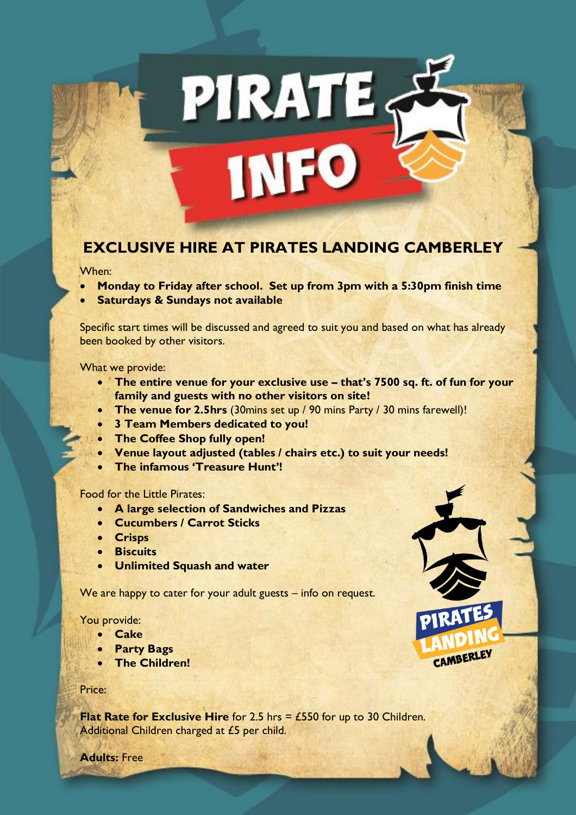# **EXCLUSIVE HIRE AT PIRATES LANDING CAMBERLEY**

PIRATES

**INFO** 

#### When:

- **Monday to Friday after school. Set up from 3pm with a 5:30pm finish time**
- **Saturdays & Sundays not available**

Specific start times will be discussed and agreed to suit you and based on what has already been booked by other visitors.

What we provide:

• **The entire venue for your exclusive use – that's 7500 sq. ft. of fun for your family and guests with no other visitors on site!**

CAMBERLEY

- **The venue for 2.5hrs** (30mins set up / 90 mins Party / 30 mins farewell)!
- **3 Team Members dedicated to you!**
- **The Coffee Shop fully open!**
- **Venue layout adjusted (tables / chairs etc.) to suit your needs!**
- **The infamous 'Treasure Hunt'!**

## Food for the Little Pirates:

- **A large selection of Sandwiches and Pizzas**
- **Cucumbers / Carrot Sticks**
- **Crisps**
- **Biscuits**
- **Unlimited Squash and water**

We are happy to cater for your adult guests – info on request.

### You provide:

- **Cake**
- **Party Bags**
- **The Children!**

#### Price:

**Flat Rate for Exclusive Hire** for 2.5 hrs = £550 for up to 30 Children. Additional Children charged at £5 per child.

**Adults:** Free